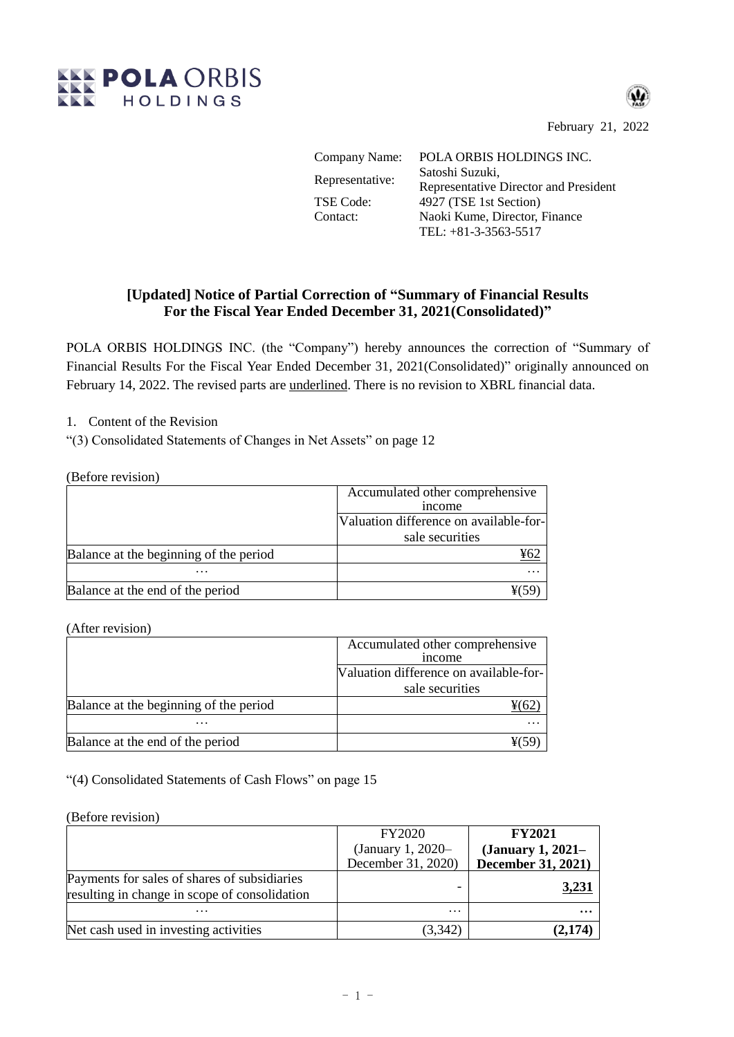

February 21, 2022

| Company Name:    | POLA ORBIS HOLDINGS INC.              |
|------------------|---------------------------------------|
| Representative:  | Satoshi Suzuki,                       |
|                  | Representative Director and President |
| <b>TSE Code:</b> | 4927 (TSE 1st Section)                |
| Contact:         | Naoki Kume, Director, Finance         |
|                  | TEL: $+81-3-3563-5517$                |

## **[Updated] Notice of Partial Correction of "Summary of Financial Results For the Fiscal Year Ended December 31, 2021(Consolidated)"**

POLA ORBIS HOLDINGS INC. (the "Company") hereby announces the correction of "Summary of Financial Results For the Fiscal Year Ended December 31, 2021(Consolidated)" originally announced on February 14, 2022. The revised parts are underlined. There is no revision to XBRL financial data.

1. Content of the Revision

"(3) Consolidated Statements of Changes in Net Assets" on page 12

(Before revision)

|                                        | Accumulated other comprehensive        |  |
|----------------------------------------|----------------------------------------|--|
|                                        | <i>n</i> come                          |  |
|                                        | Valuation difference on available-for- |  |
|                                        | sale securities                        |  |
| Balance at the beginning of the period | ¥62                                    |  |
| $\cdots$                               |                                        |  |
| Balance at the end of the period       |                                        |  |

(After revision)

|                                        | Accumulated other comprehensive<br>income |  |
|----------------------------------------|-------------------------------------------|--|
|                                        |                                           |  |
|                                        | Valuation difference on available-for-    |  |
|                                        | sale securities                           |  |
| Balance at the beginning of the period |                                           |  |
| $\cdots$                               |                                           |  |
| Balance at the end of the period       |                                           |  |

"(4) Consolidated Statements of Cash Flows" on page 15

(Before revision)

|                                                                                               | <b>FY2020</b>      | <b>FY2021</b>      |
|-----------------------------------------------------------------------------------------------|--------------------|--------------------|
|                                                                                               | (January 1, 2020–  | (January 1, 2021–  |
|                                                                                               | December 31, 2020) | December 31, 2021) |
| Payments for sales of shares of subsidiaries<br>resulting in change in scope of consolidation |                    | <u>3,231</u>       |
| $\cdots$                                                                                      | $\cdot\cdot\cdot$  | $\cdots$           |
| Net cash used in investing activities                                                         | (3,342)            | (2, 174)           |